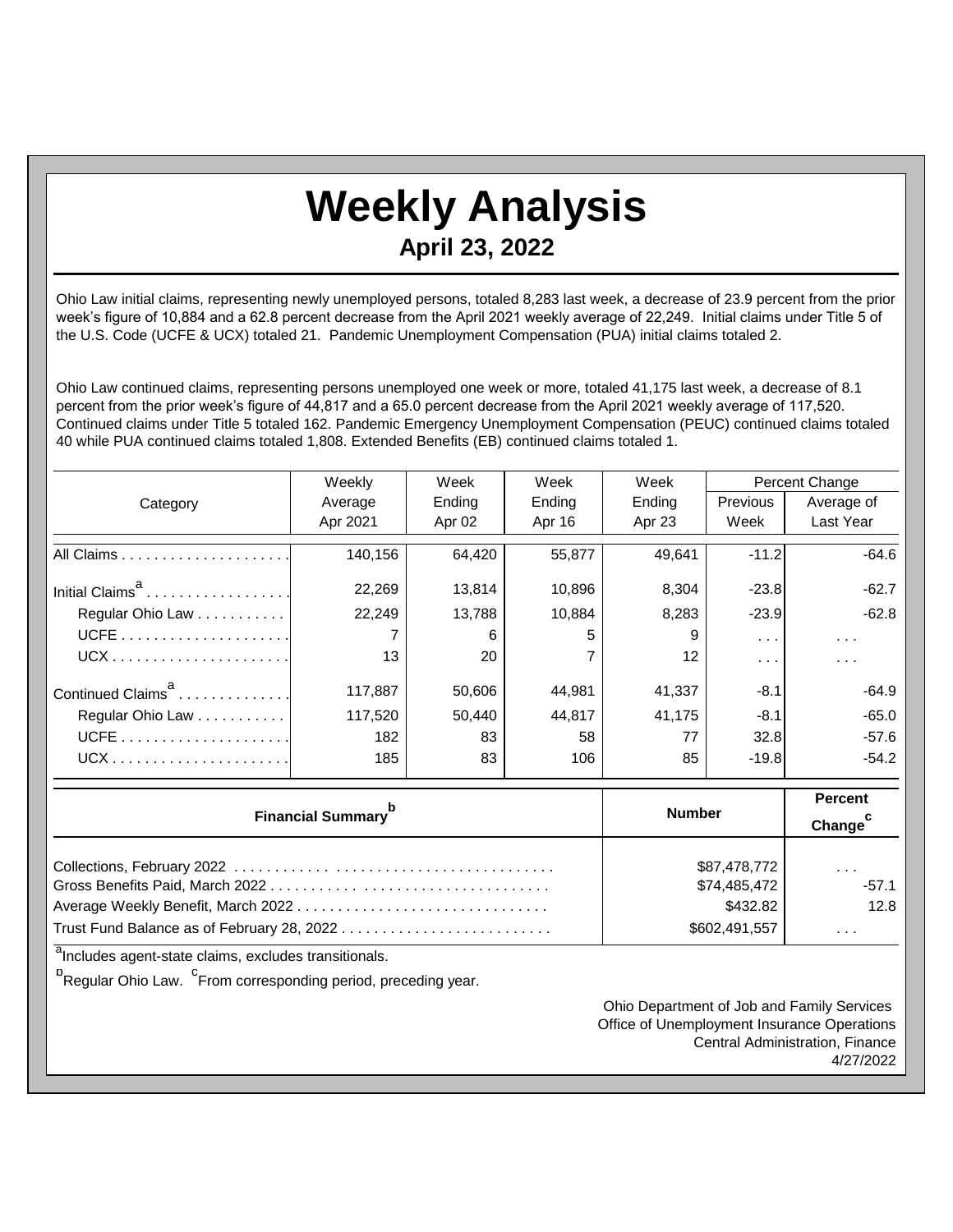## **Weekly Analysis April 23, 2022**

Ohio Law initial claims, representing newly unemployed persons, totaled 8,283 last week, a decrease of 23.9 percent from the prior week's figure of 10,884 and a 62.8 percent decrease from the April 2021 weekly average of 22,249. Initial claims under Title 5 of the U.S. Code (UCFE & UCX) totaled 21. Pandemic Unemployment Compensation (PUA) initial claims totaled 2.

Ohio Law continued claims, representing persons unemployed one week or more, totaled 41,175 last week, a decrease of 8.1 percent from the prior week's figure of 44,817 and a 65.0 percent decrease from the April 2021 weekly average of 117,520. Continued claims under Title 5 totaled 162. Pandemic Emergency Unemployment Compensation (PEUC) continued claims totaled 40 while PUA continued claims totaled 1,808. Extended Benefits (EB) continued claims totaled 1.

|                               | Weekly   | Week   |        | Week   | Percent Change       |                      |
|-------------------------------|----------|--------|--------|--------|----------------------|----------------------|
| Category                      | Average  | Ending | Ending | Ending | Previous             | Average of           |
|                               | Apr 2021 | Apr 02 | Apr 16 | Apr 23 | Week                 | Last Year            |
|                               | 140,156  | 64,420 | 55,877 | 49,641 | $-11.2$              | $-64.6$              |
| Initial Claims <sup>a</sup>   | 22,269   | 13,814 | 10,896 | 8,304  | $-23.8$              | $-62.7$              |
| Regular Ohio Law              | 22,249   | 13,788 | 10,884 | 8,283  | $-23.9$              | $-62.8$              |
|                               |          | 6      | 5      | 9      | $\sim$ $\sim$ $\sim$ | $\sim$ $\sim$ $\sim$ |
|                               | 13       | 20     |        | 12     | $\sim$ $\sim$ $\sim$ | .                    |
| Continued Claims <sup>8</sup> | 117,887  | 50,606 | 44,981 | 41,337 | $-8.1$               | $-64.9$              |
| Regular Ohio Law              | 117,520  | 50,440 | 44,817 | 41,175 | $-8.1$               | $-65.0$              |
| $UCFE$                        | 182      | 83     | 58     | 77     | 32.8                 | $-57.6$              |
|                               | 185      | 83     | 106    | 85     | $-19.8$              | $-54.2$              |

| <b>Financial Summary</b> <sup>p</sup> | <b>Number</b>                | <b>Percent</b><br>Change <sup>c</sup> |
|---------------------------------------|------------------------------|---------------------------------------|
|                                       | \$87,478,772<br>\$74,485,472 | $\sim$ $\sim$ $\sim$<br>$-57.1$       |
|                                       | \$432.82                     | 12.8                                  |
|                                       | \$602,491,557                | .                                     |

<sup>a</sup>Includes agent-state claims, excludes transitionals.

<sup>b</sup><br>Regular Ohio Law. <sup>C</sup>From corresponding period, preceding year.

Ohio Department of Job and Family Services Office of Unemployment Insurance Operations Central Administration, Finance 4/27/2022